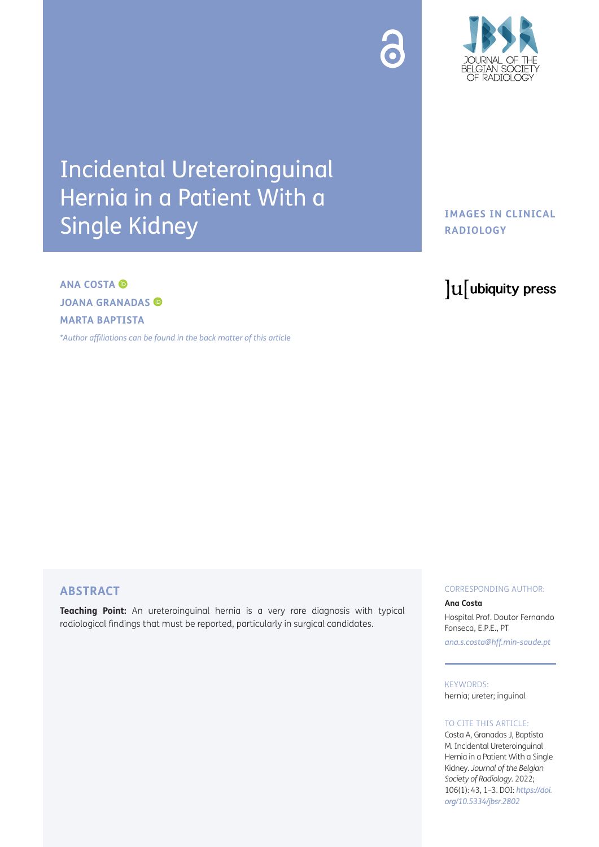

# Incidental Ureteroinguinal Hernia in a Patient With a Single Kidney

### **IMAGES IN CLINICAL RADIOLOGY**

## **ANA COSTA JOANA GRANADAS MARTA BAPTISTA**

*[\\*Author affiliations can be found in the back matter of this article](#page-2-0)*

# lu ubiquity press

#### **ABSTRACT**

**Teaching Point:** An ureteroinguinal hernia is a very rare diagnosis with typical radiological findings that must be reported, particularly in surgical candidates.

#### CORRESPONDING AUTHOR:

#### **Ana Costa**

Hospital Prof. Doutor Fernando Fonseca, E.P.E., PT *[ana.s.costa@hff.min-saude.pt](mailto:ana.s.costa@hff.min-saude.pt)*

KEYWORDS: hernia; ureter; inguinal

#### TO CITE THIS ARTICLE:

Costa A, Granadas J, Baptista M. Incidental Ureteroinguinal Hernia in a Patient With a Single Kidney. *Journal of the Belgian Society of Radiology.* 2022; 106(1): 43, 1–3. DOI: *[https://doi.](https://doi.org/10.5334/jbsr.2802) [org/10.5334/jbsr.2802](https://doi.org/10.5334/jbsr.2802)*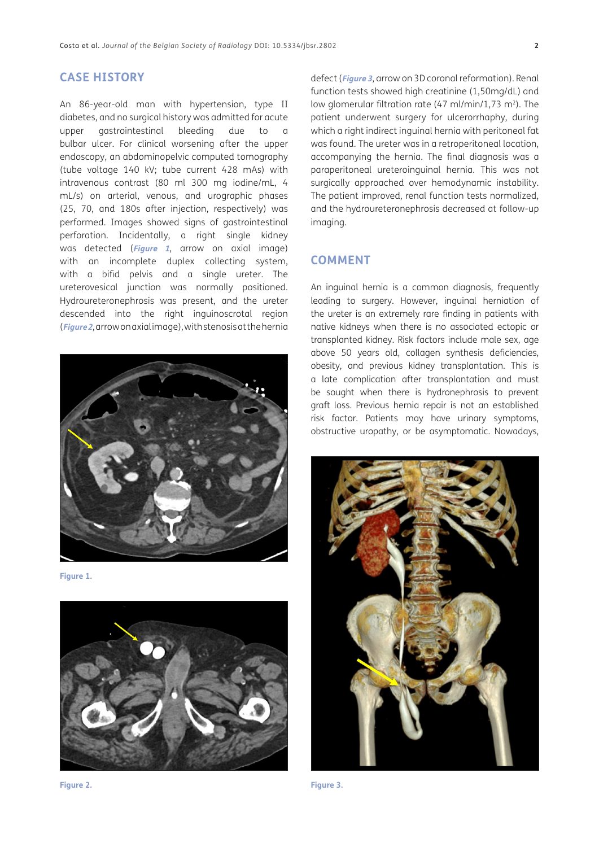#### **CASE HISTORY**

An 86-year-old man with hypertension, type II diabetes, and no surgical history was admitted for acute upper gastrointestinal bleeding due to a bulbar ulcer. For clinical worsening after the upper endoscopy, an abdominopelvic computed tomography (tube voltage 140 kV; tube current 428 mAs) with intravenous contrast (80 ml 300 mg iodine/mL, 4 mL/s) on arterial, venous, and urographic phases (25, 70, and 180s after injection, respectively) was performed. Images showed signs of gastrointestinal perforation. Incidentally, a right single kidney was detected (**[Figure 1](#page-1-0)**, arrow on axial image) with an incomplete duplex collecting system, with a bifid pelvis and a single ureter. The ureterovesical junction was normally positioned. Hydroureteronephrosis was present, and the ureter descended into the right inguinoscrotal region (**[Figure 2](#page-1-1)**, arrow on axial image), with stenosis at the hernia



**Figure 1.**

<span id="page-1-0"></span>

<span id="page-1-2"></span><span id="page-1-1"></span>

defect (**[Figure 3](#page-1-2)**, arrow on 3D coronal reformation). Renal function tests showed high creatinine (1,50mg/dL) and low glomerular filtration rate (47 ml/min/1,73 m<sup>2</sup>). The patient underwent surgery for ulcerorrhaphy, during which a right indirect inguinal hernia with peritoneal fat was found. The ureter was in a retroperitoneal location, accompanying the hernia. The final diagnosis was a paraperitoneal ureteroinguinal hernia. This was not surgically approached over hemodynamic instability. The patient improved, renal function tests normalized, and the hydroureteronephrosis decreased at follow-up imaging.

#### **COMMENT**

An inguinal hernia is a common diagnosis, frequently leading to surgery. However, inguinal herniation of the ureter is an extremely rare finding in patients with native kidneys when there is no associated ectopic or transplanted kidney. Risk factors include male sex, age above 50 years old, collagen synthesis deficiencies, obesity, and previous kidney transplantation. This is a late complication after transplantation and must be sought when there is hydronephrosis to prevent graft loss. Previous hernia repair is not an established risk factor. Patients may have urinary symptoms, obstructive uropathy, or be asymptomatic. Nowadays,